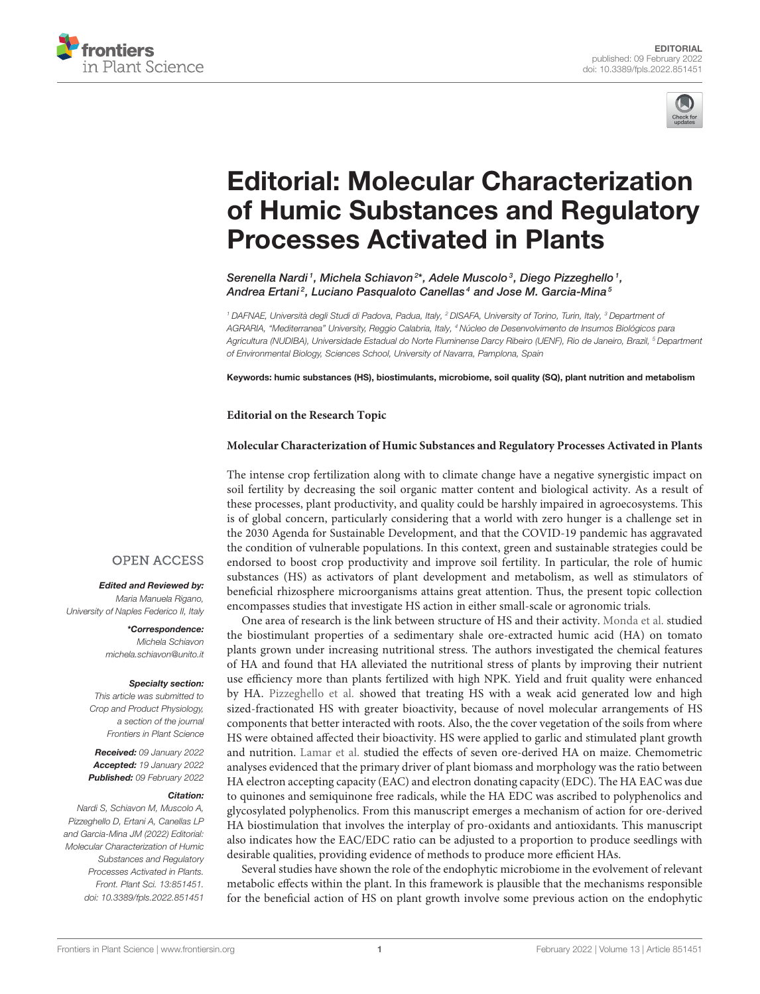



# Editorial: Molecular Characterization [of Humic Substances and Regulatory](https://www.frontiersin.org/articles/10.3389/fpls.2022.851451/full) Processes Activated in Plants

Serenella Nardi <sup>1</sup>, Michela Schiavon<sup>2\*</sup>, Adele Muscolo <sup>3</sup>, Diego Pizzeghello <sup>1</sup>, Andrea Ertani $^2$ , Luciano Pasqualoto Canellas $^4$  and Jose M. Garcia-Mina $^5$ 

<sup>1</sup> DAFNAE, Università degli Studi di Padova, Padua, Italy, <sup>2</sup> DISAFA, University of Torino, Turin, Italy, <sup>3</sup> Department of AGRARIA, "Mediterranea" University, Reggio Calabria, Italy, <sup>4</sup> Núcleo de Desenvolvimento de Insumos Biológicos para Agricultura (NUDIBA), Universidade Estadual do Norte Fluminense Darcy Ribeiro (UENF), Rio de Janeiro, Brazil, <sup>5</sup> Department of Environmental Biology, Sciences School, University of Navarra, Pamplona, Spain

Keywords: humic substances (HS), biostimulants, microbiome, soil quality (SQ), plant nutrition and metabolism

#### **Editorial on the Research Topic**

#### **[Molecular Characterization of Humic Substances and Regulatory Processes Activated in Plants](https://www.frontiersin.org/research-topics/11047/molecular-characterization-of-humic-substances-and-regulatory-processes-activated-in-plants)**

The intense crop fertilization along with to climate change have a negative synergistic impact on soil fertility by decreasing the soil organic matter content and biological activity. As a result of these processes, plant productivity, and quality could be harshly impaired in agroecosystems. This is of global concern, particularly considering that a world with zero hunger is a challenge set in the 2030 Agenda for Sustainable Development, and that the COVID-19 pandemic has aggravated the condition of vulnerable populations. In this context, green and sustainable strategies could be endorsed to boost crop productivity and improve soil fertility. In particular, the role of humic substances (HS) as activators of plant development and metabolism, as well as stimulators of beneficial rhizosphere microorganisms attains great attention. Thus, the present topic collection encompasses studies that investigate HS action in either small-scale or agronomic trials.

One area of research is the link between structure of HS and their activity. [Monda et al.](https://doi.org/10.3389/fpls.2021.660224) studied the biostimulant properties of a sedimentary shale ore-extracted humic acid (HA) on tomato plants grown under increasing nutritional stress. The authors investigated the chemical features of HA and found that HA alleviated the nutritional stress of plants by improving their nutrient use efficiency more than plants fertilized with high NPK. Yield and fruit quality were enhanced by HA. [Pizzeghello et al.](https://doi.org/10.3389/fpls.2020.01203) showed that treating HS with a weak acid generated low and high sized-fractionated HS with greater bioactivity, because of novel molecular arrangements of HS components that better interacted with roots. Also, the the cover vegetation of the soils from where HS were obtained affected their bioactivity. HS were applied to garlic and stimulated plant growth and nutrition. [Lamar et al.](https://doi.org/10.3389/fpls.2021.758424) studied the effects of seven ore-derived HA on maize. Chemometric analyses evidenced that the primary driver of plant biomass and morphology was the ratio between HA electron accepting capacity (EAC) and electron donating capacity (EDC). The HA EAC was due to quinones and semiquinone free radicals, while the HA EDC was ascribed to polyphenolics and glycosylated polyphenolics. From this manuscript emerges a mechanism of action for ore-derived HA biostimulation that involves the interplay of pro-oxidants and antioxidants. This manuscript also indicates how the EAC/EDC ratio can be adjusted to a proportion to produce seedlings with desirable qualities, providing evidence of methods to produce more efficient HAs.

Several studies have shown the role of the endophytic microbiome in the evolvement of relevant metabolic effects within the plant. In this framework is plausible that the mechanisms responsible for the beneficial action of HS on plant growth involve some previous action on the endophytic

### **OPEN ACCESS**

#### Edited and Reviewed by:

Maria Manuela Rigano, University of Naples Federico II, Italy

> \*Correspondence: Michela Schiavon [michela.schiavon@unito.it](mailto:michela.schiavon@unito.it)

#### Specialty section:

This article was submitted to Crop and Product Physiology, a section of the journal Frontiers in Plant Science

Received: 09 January 2022 Accepted: 19 January 2022 Published: 09 February 2022

#### Citation:

Nardi S, Schiavon M, Muscolo A, Pizzeghello D, Ertani A, Canellas LP and Garcia-Mina JM (2022) Editorial: Molecular Characterization of Humic Substances and Regulatory Processes Activated in Plants. Front. Plant Sci. 13:851451. doi: [10.3389/fpls.2022.851451](https://doi.org/10.3389/fpls.2022.851451)